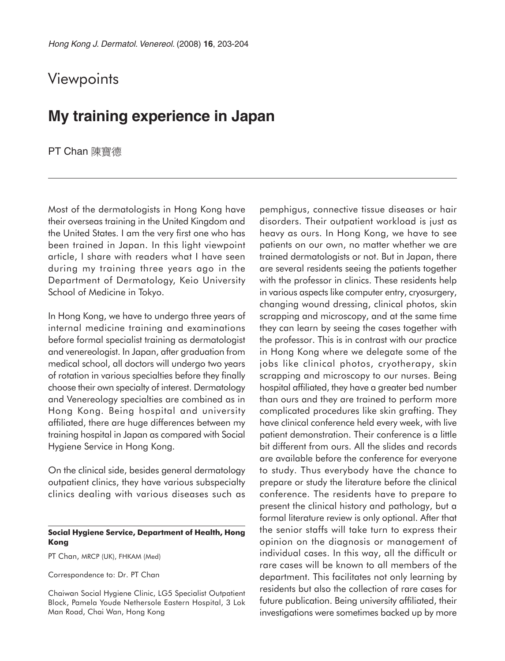## **Viewpoints**

## **My training experience in Japan**

PT Chan 陳寶德

Most of the dermatologists in Hong Kong have their overseas training in the United Kingdom and the United States. I am the very first one who has been trained in Japan. In this light viewpoint article, I share with readers what I have seen during my training three years ago in the Department of Dermatology, Keio University School of Medicine in Tokyo.

In Hong Kong, we have to undergo three years of internal medicine training and examinations before formal specialist training as dermatologist and venereologist. In Japan, after graduation from medical school, all doctors will undergo two years of rotation in various specialties before they finally choose their own specialty of interest. Dermatology and Venereology specialties are combined as in Hong Kong. Being hospital and university affiliated, there are huge differences between my training hospital in Japan as compared with Social Hygiene Service in Hong Kong.

On the clinical side, besides general dermatology outpatient clinics, they have various subspecialty clinics dealing with various diseases such as

## **Social Hygiene Service, Department of Health, Hong Kong**

PT Chan, MRCP (UK), FHKAM (Med)

Correspondence to: Dr. PT Chan

Chaiwan Social Hygiene Clinic, LG5 Specialist Outpatient Block, Pamela Youde Nethersole Eastern Hospital, 3 Lok Man Road, Chai Wan, Hong Kong

pemphigus, connective tissue diseases or hair disorders. Their outpatient workload is just as heavy as ours. In Hong Kong, we have to see patients on our own, no matter whether we are trained dermatologists or not. But in Japan, there are several residents seeing the patients together with the professor in clinics. These residents help in various aspects like computer entry, cryosurgery, changing wound dressing, clinical photos, skin scrapping and microscopy, and at the same time they can learn by seeing the cases together with the professor. This is in contrast with our practice in Hong Kong where we delegate some of the jobs like clinical photos, cryotherapy, skin scrapping and microscopy to our nurses. Being hospital affiliated, they have a greater bed number than ours and they are trained to perform more complicated procedures like skin grafting. They have clinical conference held every week, with live patient demonstration. Their conference is a little bit different from ours. All the slides and records are available before the conference for everyone to study. Thus everybody have the chance to prepare or study the literature before the clinical conference. The residents have to prepare to present the clinical history and pathology, but a formal literature review is only optional. After that the senior staffs will take turn to express their opinion on the diagnosis or management of individual cases. In this way, all the difficult or rare cases will be known to all members of the department. This facilitates not only learning by residents but also the collection of rare cases for future publication. Being university affiliated, their investigations were sometimes backed up by more